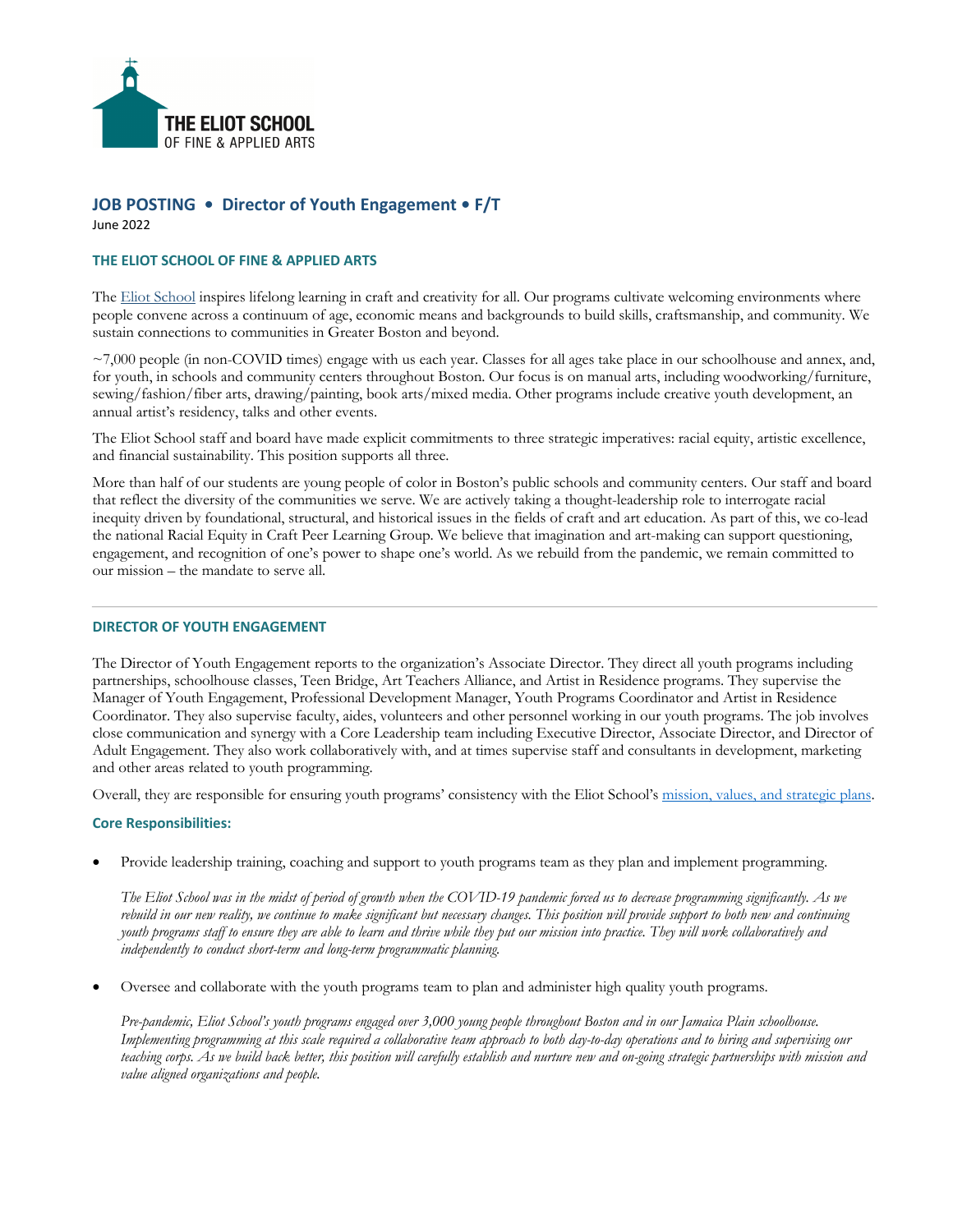

# **JOB POSTING • Director of Youth Engagement • F/T** June 2022

### **THE ELIOT SCHOOL OF FINE & APPLIED ARTS**

The Eliot School inspires lifelong learning in craft and creativity for all. Our programs cultivate welcoming environments where people convene across a continuum of age, economic means and backgrounds to build skills, craftsmanship, and community. We sustain connections to communities in Greater Boston and beyond.

~7,000 people (in non-COVID times) engage with us each year. Classes for all ages take place in our schoolhouse and annex, and, for youth, in schools and community centers throughout Boston. Our focus is on manual arts, including woodworking/furniture, sewing/fashion/fiber arts, drawing/painting, book arts/mixed media. Other programs include creative youth development, an annual artist's residency, talks and other events.

The Eliot School staff and board have made explicit commitments to three strategic imperatives: racial equity, artistic excellence, and financial sustainability. This position supports all three.

More than half of our students are young people of color in Boston's public schools and community centers. Our staff and board that reflect the diversity of the communities we serve. We are actively taking a thought-leadership role to interrogate racial inequity driven by foundational, structural, and historical issues in the fields of craft and art education. As part of this, we co-lead the national Racial Equity in Craft Peer Learning Group. We believe that imagination and art-making can support questioning, engagement, and recognition of one's power to shape one's world. As we rebuild from the pandemic, we remain committed to our mission – the mandate to serve all.

### **DIRECTOR OF YOUTH ENGAGEMENT**

The Director of Youth Engagement reports to the organization's Associate Director. They direct all youth programs including partnerships, schoolhouse classes, Teen Bridge, Art Teachers Alliance, and Artist in Residence programs. They supervise the Manager of Youth Engagement, Professional Development Manager, Youth Programs Coordinator and Artist in Residence Coordinator. They also supervise faculty, aides, volunteers and other personnel working in our youth programs. The job involves close communication and synergy with a Core Leadership team including Executive Director, Associate Director, and Director of Adult Engagement. They also work collaboratively with, and at times supervise staff and consultants in development, marketing and other areas related to youth programming.

Overall, they are responsible for ensuring youth programs' consistency with the Eliot School's mission, values, and strategic plans.

#### **Core Responsibilities:**

• Provide leadership training, coaching and support to youth programs team as they plan and implement programming.

*The Eliot School was in the midst of period of growth when the COVID-19 pandemic forced us to decrease programming significantly. As we rebuild in our new reality, we continue to make significant but necessary changes. This position will provide support to both new and continuing youth programs staff to ensure they are able to learn and thrive while they put our mission into practice. They will work collaboratively and independently to conduct short-term and long-term programmatic planning.* 

• Oversee and collaborate with the youth programs team to plan and administer high quality youth programs.

*Pre-pandemic, Eliot School's youth programs engaged over 3,000 young people throughout Boston and in our Jamaica Plain schoolhouse. Implementing programming at this scale required a collaborative team approach to both day-to-day operations and to hiring and supervising our teaching corps. As we build back better, this position will carefully establish and nurture new and on-going strategic partnerships with mission and value aligned organizations and people.*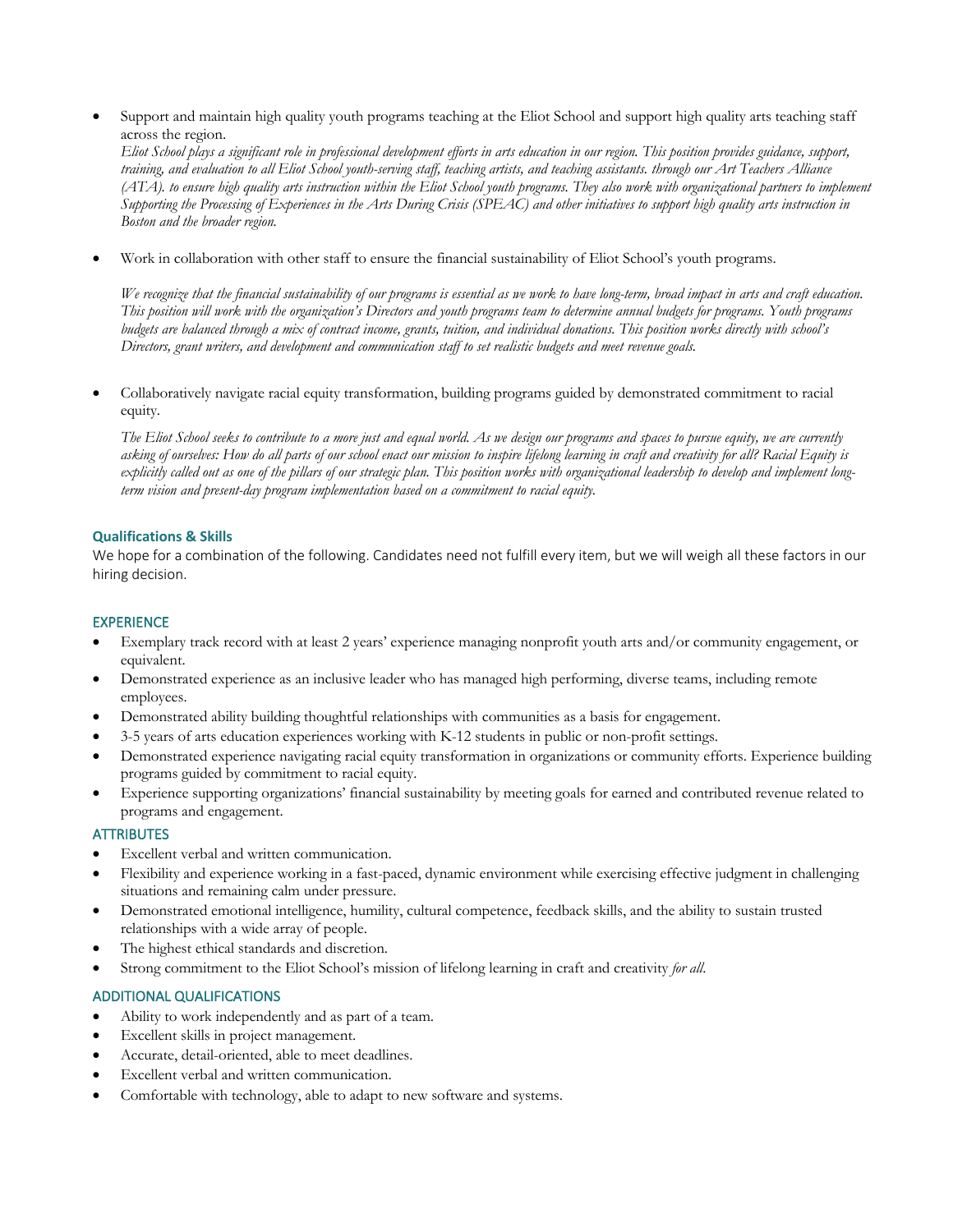• Support and maintain high quality youth programs teaching at the Eliot School and support high quality arts teaching staff across the region.

*Eliot School plays a significant role in professional development efforts in arts education in our region. This position provides guidance, support, training, and evaluation to all Eliot School youth-serving staff, teaching artists, and teaching assistants. through our Art Teachers Alliance (ATA). to ensure high quality arts instruction within the Eliot School youth programs. They also work with organizational partners to implement Supporting the Processing of Experiences in the Arts During Crisis (SPEAC) and other initiatives to support high quality arts instruction in Boston and the broader region.* 

• Work in collaboration with other staff to ensure the financial sustainability of Eliot School's youth programs.

*We recognize that the financial sustainability of our programs is essential as we work to have long-term, broad impact in arts and craft education. This position will work with the organization's Directors and youth programs team to determine annual budgets for programs. Youth programs budgets are balanced through a mix of contract income, grants, tuition, and individual donations. This position works directly with school's Directors, grant writers, and development and communication staff to set realistic budgets and meet revenue goals.*

• Collaboratively navigate racial equity transformation, building programs guided by demonstrated commitment to racial equity.

*The Eliot School seeks to contribute to a more just and equal world. As we design our programs and spaces to pursue equity, we are currently asking of ourselves: How do all parts of our school enact our mission to inspire lifelong learning in craft and creativity for all? Racial Equity is*  explicitly called out as one of the pillars of our strategic plan. This position works with organizational leadership to develop and implement long*term vision and present-day program implementation based on a commitment to racial equity.* 

### **Qualifications & Skills**

We hope for a combination of the following. Candidates need not fulfill every item, but we will weigh all these factors in our hiring decision.

## EXPERIENCE

- Exemplary track record with at least 2 years' experience managing nonprofit youth arts and/or community engagement, or equivalent.
- Demonstrated experience as an inclusive leader who has managed high performing, diverse teams, including remote employees.
- Demonstrated ability building thoughtful relationships with communities as a basis for engagement.
- 3-5 years of arts education experiences working with K-12 students in public or non-profit settings.
- Demonstrated experience navigating racial equity transformation in organizations or community efforts. Experience building programs guided by commitment to racial equity.
- Experience supporting organizations' financial sustainability by meeting goals for earned and contributed revenue related to programs and engagement.

# **ATTRIBUTES**

- Excellent verbal and written communication.
- Flexibility and experience working in a fast-paced, dynamic environment while exercising effective judgment in challenging situations and remaining calm under pressure.
- Demonstrated emotional intelligence, humility, cultural competence, feedback skills, and the ability to sustain trusted relationships with a wide array of people.
- The highest ethical standards and discretion.
- Strong commitment to the Eliot School's mission of lifelong learning in craft and creativity *for all*.

# ADDITIONAL QUALIFICATIONS

- Ability to work independently and as part of a team.
- Excellent skills in project management.
- Accurate, detail-oriented, able to meet deadlines.
- Excellent verbal and written communication.
- Comfortable with technology, able to adapt to new software and systems.